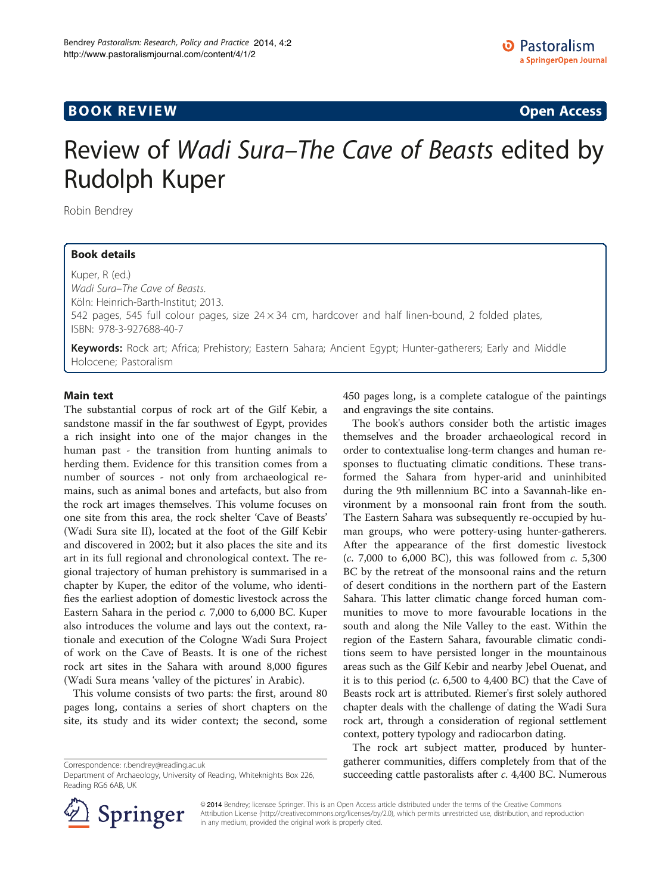# **BOOK REVIEW CONTROL** BOOK REVIEW

# Review of Wadi Sura–The Cave of Beasts edited by Rudolph Kuper

Robin Bendrey

## Book details

Kuper, R (ed.) Wadi Sura–The Cave of Beasts. Köln: Heinrich-Barth-Institut; 2013. 542 pages, 545 full colour pages, size  $24 \times 34$  cm, hardcover and half linen-bound, 2 folded plates, ISBN: 978-3-927688-40-7

Keywords: Rock art; Africa; Prehistory; Eastern Sahara; Ancient Egypt; Hunter-gatherers; Early and Middle Holocene; Pastoralism

### Main text

The substantial corpus of rock art of the Gilf Kebir, a sandstone massif in the far southwest of Egypt, provides a rich insight into one of the major changes in the human past - the transition from hunting animals to herding them. Evidence for this transition comes from a number of sources - not only from archaeological remains, such as animal bones and artefacts, but also from the rock art images themselves. This volume focuses on one site from this area, the rock shelter 'Cave of Beasts' (Wadi Sura site II), located at the foot of the Gilf Kebir and discovered in 2002; but it also places the site and its art in its full regional and chronological context. The regional trajectory of human prehistory is summarised in a chapter by Kuper, the editor of the volume, who identifies the earliest adoption of domestic livestock across the Eastern Sahara in the period c. 7,000 to 6,000 BC. Kuper also introduces the volume and lays out the context, rationale and execution of the Cologne Wadi Sura Project of work on the Cave of Beasts. It is one of the richest rock art sites in the Sahara with around 8,000 figures (Wadi Sura means 'valley of the pictures' in Arabic).

This volume consists of two parts: the first, around 80 pages long, contains a series of short chapters on the site, its study and its wider context; the second, some

Correspondence: [r.bendrey@reading.ac.uk](mailto:r.bendrey@reading.ac.uk)

450 pages long, is a complete catalogue of the paintings and engravings the site contains.

The book's authors consider both the artistic images themselves and the broader archaeological record in order to contextualise long-term changes and human responses to fluctuating climatic conditions. These transformed the Sahara from hyper-arid and uninhibited during the 9th millennium BC into a Savannah-like environment by a monsoonal rain front from the south. The Eastern Sahara was subsequently re-occupied by human groups, who were pottery-using hunter-gatherers. After the appearance of the first domestic livestock  $(c. 7,000 \text{ to } 6,000 \text{ BC})$ , this was followed from  $c. 5,300$ BC by the retreat of the monsoonal rains and the return of desert conditions in the northern part of the Eastern Sahara. This latter climatic change forced human communities to move to more favourable locations in the south and along the Nile Valley to the east. Within the region of the Eastern Sahara, favourable climatic conditions seem to have persisted longer in the mountainous areas such as the Gilf Kebir and nearby Jebel Ouenat, and it is to this period (c. 6,500 to 4,400 BC) that the Cave of Beasts rock art is attributed. Riemer's first solely authored chapter deals with the challenge of dating the Wadi Sura rock art, through a consideration of regional settlement context, pottery typology and radiocarbon dating.

The rock art subject matter, produced by huntergatherer communities, differs completely from that of the succeeding cattle pastoralists after c. 4,400 BC. Numerous



© 2014 Bendrey; licensee Springer. This is an Open Access article distributed under the terms of the Creative Commons Attribution License [\(http://creativecommons.org/licenses/by/2.0\)](http://creativecommons.org/licenses/by/2.0), which permits unrestricted use, distribution, and reproduction in any medium, provided the original work is properly cited.

Department of Archaeology, University of Reading, Whiteknights Box 226, Reading RG6 6AB, UK